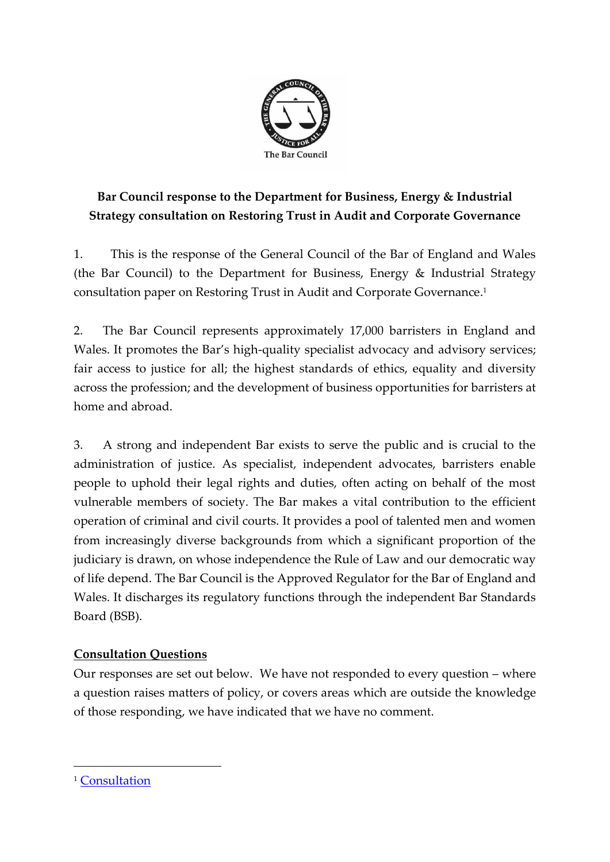

# **Bar Council response to the Department for Business, Energy & Industrial Strategy consultation on Restoring Trust in Audit and Corporate Governance**

1. This is the response of the General Council of the Bar of England and Wales (the Bar Council) to the Department for Business, Energy & Industrial Strategy consultation paper on Restoring Trust in Audit and Corporate Governance. 1

2. The Bar Council represents approximately 17,000 barristers in England and Wales. It promotes the Bar's high-quality specialist advocacy and advisory services; fair access to justice for all; the highest standards of ethics, equality and diversity across the profession; and the development of business opportunities for barristers at home and abroad.

3. A strong and independent Bar exists to serve the public and is crucial to the administration of justice. As specialist, independent advocates, barristers enable people to uphold their legal rights and duties, often acting on behalf of the most vulnerable members of society. The Bar makes a vital contribution to the efficient operation of criminal and civil courts. It provides a pool of talented men and women from increasingly diverse backgrounds from which a significant proportion of the judiciary is drawn, on whose independence the Rule of Law and our democratic way of life depend. The Bar Council is the Approved Regulator for the Bar of England and Wales. It discharges its regulatory functions through the independent Bar Standards Board (BSB).

### **Consultation Questions**

Our responses are set out below. We have not responded to every question – where a question raises matters of policy, or covers areas which are outside the knowledge of those responding, we have indicated that we have no comment.

<sup>&</sup>lt;sup>1</sup> [Consultation](https://assets.publishing.service.gov.uk/government/uploads/system/uploads/attachment_data/file/970673/restoring-trust-in-audit-and-corporate-governance-command-paper.pdf)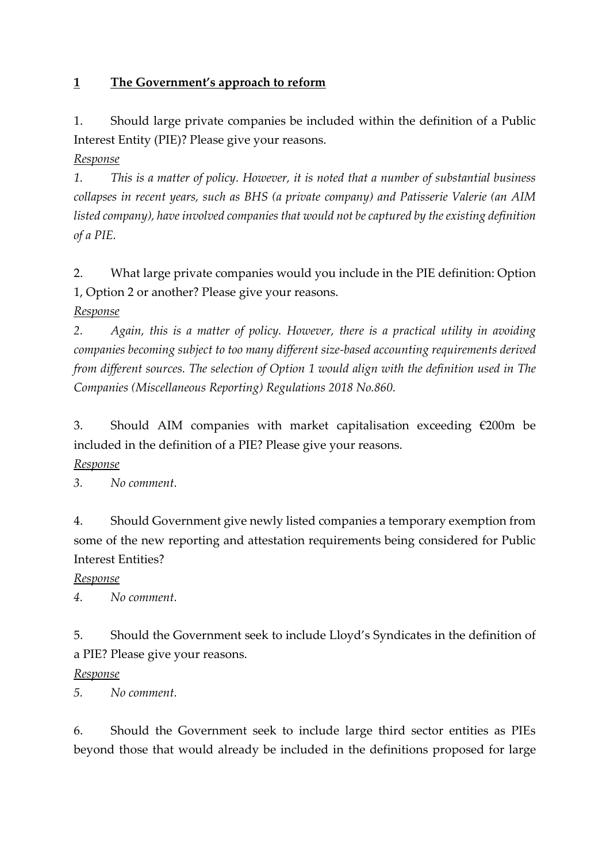#### **1 The Government's approach to reform**

1. Should large private companies be included within the definition of a Public Interest Entity (PIE)? Please give your reasons.

*Response*

*1. This is a matter of policy. However, it is noted that a number of substantial business collapses in recent years, such as BHS (a private company) and Patisserie Valerie (an AIM listed company), have involved companies that would not be captured by the existing definition of a PIE.*

2. What large private companies would you include in the PIE definition: Option 1, Option 2 or another? Please give your reasons.

*Response*

*2. Again, this is a matter of policy. However, there is a practical utility in avoiding companies becoming subject to too many different size-based accounting requirements derived from different sources. The selection of Option 1 would align with the definition used in The Companies (Miscellaneous Reporting) Regulations 2018 No.860.*

3. Should AIM companies with market capitalisation exceeding €200m be included in the definition of a PIE? Please give your reasons.

#### *Response*

*3. No comment.*

4. Should Government give newly listed companies a temporary exemption from some of the new reporting and attestation requirements being considered for Public Interest Entities?

#### *Response*

*4. No comment.*

5. Should the Government seek to include Lloyd's Syndicates in the definition of a PIE? Please give your reasons.

#### *Response*

*5. No comment.*

6. Should the Government seek to include large third sector entities as PIEs beyond those that would already be included in the definitions proposed for large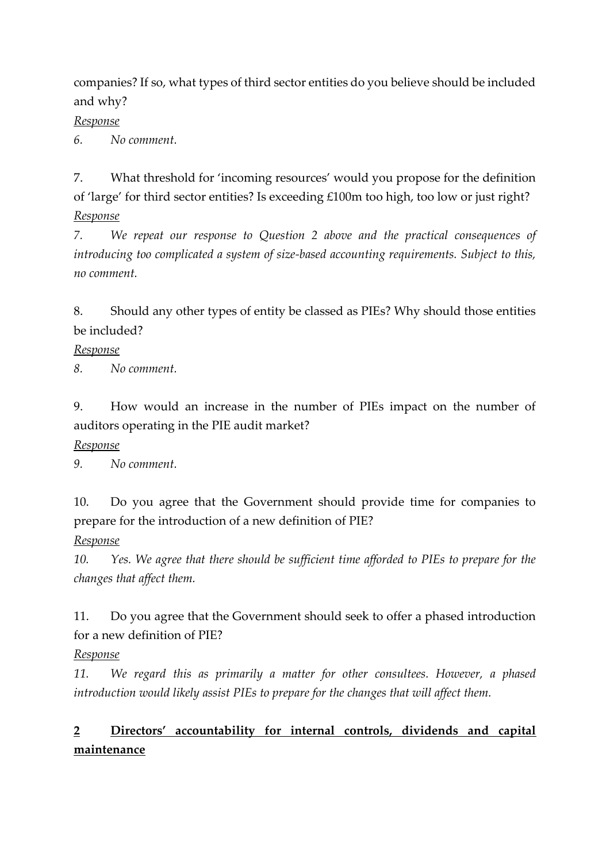companies? If so, what types of third sector entities do you believe should be included and why?

#### *Response*

*6. No comment.*

7. What threshold for 'incoming resources' would you propose for the definition of 'large' for third sector entities? Is exceeding £100m too high, too low or just right? *Response*

*7. We repeat our response to Question 2 above and the practical consequences of introducing too complicated a system of size-based accounting requirements. Subject to this, no comment.*

8. Should any other types of entity be classed as PIEs? Why should those entities be included?

#### *Response*

*8. No comment.*

9. How would an increase in the number of PIEs impact on the number of auditors operating in the PIE audit market?

### *Response*

*9. No comment.*

10. Do you agree that the Government should provide time for companies to prepare for the introduction of a new definition of PIE?

### *Response*

*10. Yes. We agree that there should be sufficient time afforded to PIEs to prepare for the changes that affect them.*

11. Do you agree that the Government should seek to offer a phased introduction for a new definition of PIE?

### *Response*

*11. We regard this as primarily a matter for other consultees. However, a phased introduction would likely assist PIEs to prepare for the changes that will affect them.*

# **2 Directors' accountability for internal controls, dividends and capital maintenance**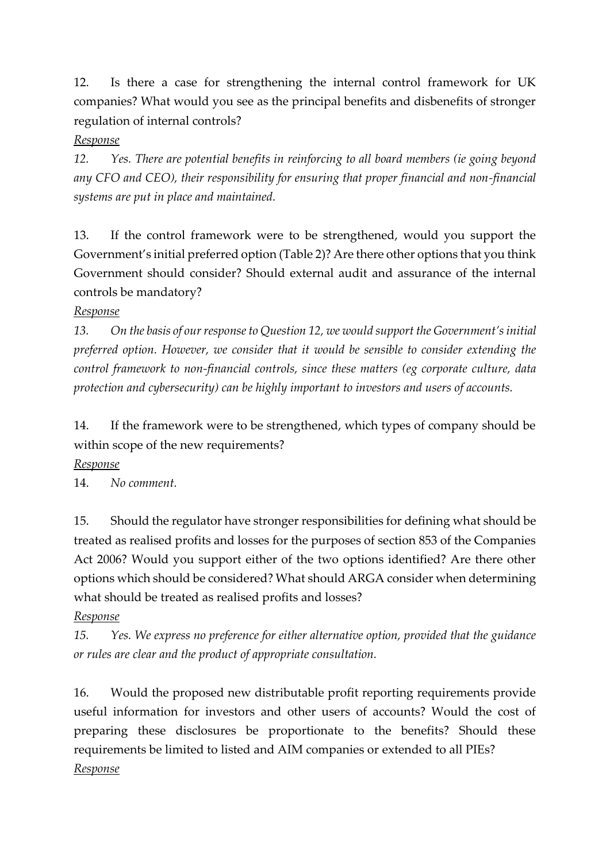12. Is there a case for strengthening the internal control framework for UK companies? What would you see as the principal benefits and disbenefits of stronger regulation of internal controls?

#### *Response*

*12. Yes. There are potential benefits in reinforcing to all board members (ie going beyond any CFO and CEO), their responsibility for ensuring that proper financial and non-financial systems are put in place and maintained.*

13. If the control framework were to be strengthened, would you support the Government's initial preferred option (Table 2)? Are there other options that you think Government should consider? Should external audit and assurance of the internal controls be mandatory?

#### *Response*

*13. On the basis of our response to Question 12, we would support the Government's initial preferred option. However, we consider that it would be sensible to consider extending the control framework to non-financial controls, since these matters (eg corporate culture, data protection and cybersecurity) can be highly important to investors and users of accounts.*

14. If the framework were to be strengthened, which types of company should be within scope of the new requirements?

#### *Response*

14. *No comment.*

15. Should the regulator have stronger responsibilities for defining what should be treated as realised profits and losses for the purposes of section 853 of the Companies Act 2006? Would you support either of the two options identified? Are there other options which should be considered? What should ARGA consider when determining what should be treated as realised profits and losses?

### *Response*

*15. Yes. We express no preference for either alternative option, provided that the guidance or rules are clear and the product of appropriate consultation.*

16. Would the proposed new distributable profit reporting requirements provide useful information for investors and other users of accounts? Would the cost of preparing these disclosures be proportionate to the benefits? Should these requirements be limited to listed and AIM companies or extended to all PIEs? *Response*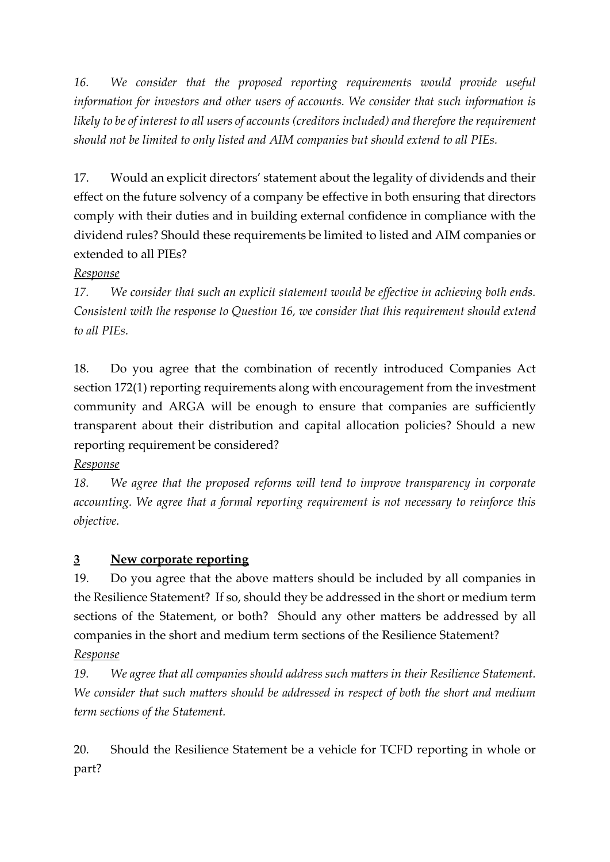*16. We consider that the proposed reporting requirements would provide useful information for investors and other users of accounts. We consider that such information is likely to be of interest to all users of accounts (creditors included) and therefore the requirement should not be limited to only listed and AIM companies but should extend to all PIEs.*

17. Would an explicit directors' statement about the legality of dividends and their effect on the future solvency of a company be effective in both ensuring that directors comply with their duties and in building external confidence in compliance with the dividend rules? Should these requirements be limited to listed and AIM companies or extended to all PIEs?

#### *Response*

*17. We consider that such an explicit statement would be effective in achieving both ends. Consistent with the response to Question 16, we consider that this requirement should extend to all PIEs.*

18. Do you agree that the combination of recently introduced Companies Act section 172(1) reporting requirements along with encouragement from the investment community and ARGA will be enough to ensure that companies are sufficiently transparent about their distribution and capital allocation policies? Should a new reporting requirement be considered?

### *Response*

*18. We agree that the proposed reforms will tend to improve transparency in corporate accounting. We agree that a formal reporting requirement is not necessary to reinforce this objective.*

## **3 New corporate reporting**

19. Do you agree that the above matters should be included by all companies in the Resilience Statement? If so, should they be addressed in the short or medium term sections of the Statement, or both? Should any other matters be addressed by all companies in the short and medium term sections of the Resilience Statement? *Response*

# *19. We agree that all companies should address such matters in their Resilience Statement. We consider that such matters should be addressed in respect of both the short and medium term sections of the Statement.*

20. Should the Resilience Statement be a vehicle for TCFD reporting in whole or part?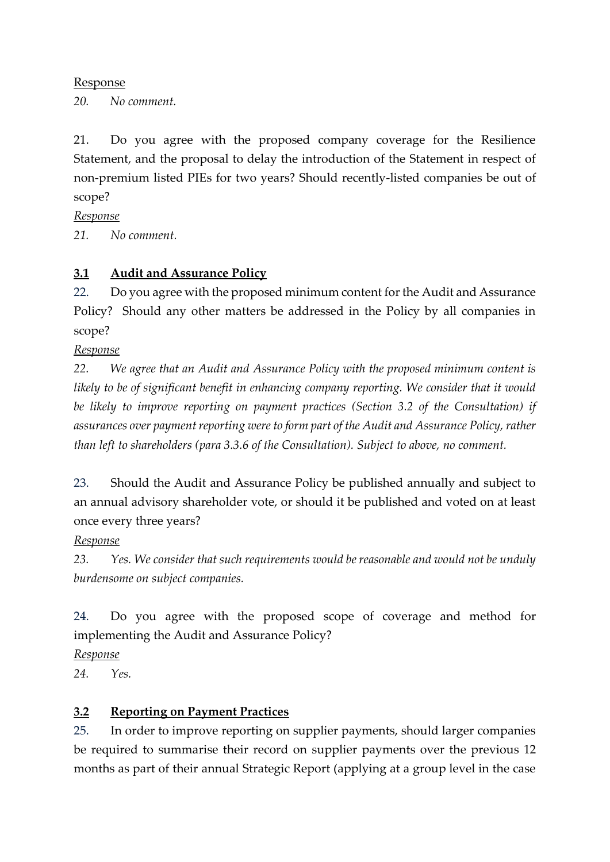#### Response

*20. No comment.*

21. Do you agree with the proposed company coverage for the Resilience Statement, and the proposal to delay the introduction of the Statement in respect of non-premium listed PIEs for two years? Should recently-listed companies be out of scope?

*Response*

*21. No comment.*

#### **3.1 Audit and Assurance Policy**

22. Do you agree with the proposed minimum content for the Audit and Assurance Policy? Should any other matters be addressed in the Policy by all companies in scope?

*Response*

*22. We agree that an Audit and Assurance Policy with the proposed minimum content is likely to be of significant benefit in enhancing company reporting. We consider that it would be likely to improve reporting on payment practices (Section 3.2 of the Consultation) if assurances over payment reporting were to form part of the Audit and Assurance Policy, rather than left to shareholders (para 3.3.6 of the Consultation). Subject to above, no comment.*

23. Should the Audit and Assurance Policy be published annually and subject to an annual advisory shareholder vote, or should it be published and voted on at least once every three years?

#### *Response*

*23. Yes. We consider that such requirements would be reasonable and would not be unduly burdensome on subject companies.*

24. Do you agree with the proposed scope of coverage and method for implementing the Audit and Assurance Policy?

*Response*

*24. Yes.*

#### **3.2 Reporting on Payment Practices**

25. In order to improve reporting on supplier payments, should larger companies be required to summarise their record on supplier payments over the previous 12 months as part of their annual Strategic Report (applying at a group level in the case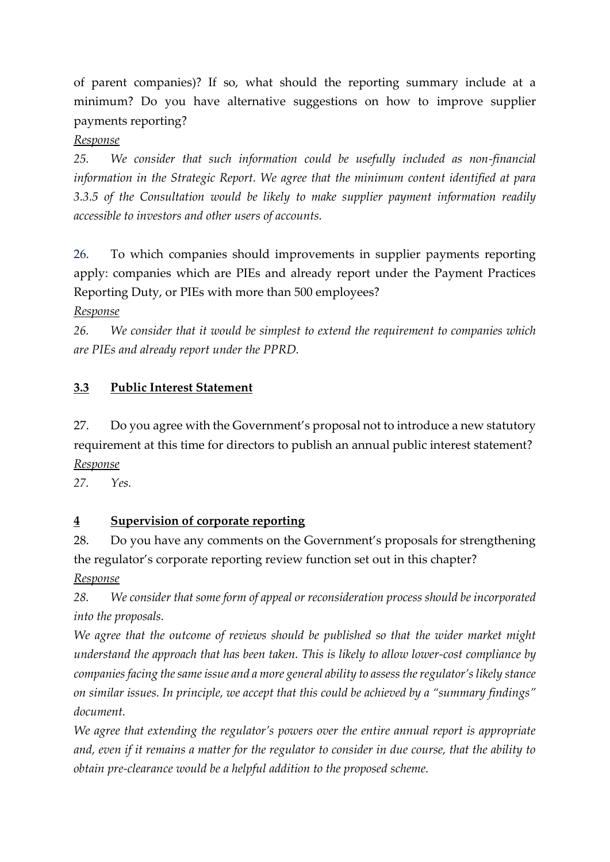of parent companies)? If so, what should the reporting summary include at a minimum? Do you have alternative suggestions on how to improve supplier payments reporting?

### *Response*

*25. We consider that such information could be usefully included as non-financial information in the Strategic Report. We agree that the minimum content identified at para 3.3.5 of the Consultation would be likely to make supplier payment information readily accessible to investors and other users of accounts.*

26. To which companies should improvements in supplier payments reporting apply: companies which are PIEs and already report under the Payment Practices Reporting Duty, or PIEs with more than 500 employees?

*Response* 

*26. We consider that it would be simplest to extend the requirement to companies which are PIEs and already report under the PPRD.*

## **3.3 Public Interest Statement**

27. Do you agree with the Government's proposal not to introduce a new statutory requirement at this time for directors to publish an annual public interest statement? *Response*

*27. Yes.*

### **4 Supervision of corporate reporting**

28. Do you have any comments on the Government's proposals for strengthening the regulator's corporate reporting review function set out in this chapter? *Response*

*28. We consider that some form of appeal or reconsideration process should be incorporated into the proposals.*

*We agree that the outcome of reviews should be published so that the wider market might understand the approach that has been taken. This is likely to allow lower-cost compliance by companies facing the same issue and a more general ability to assess the regulator's likely stance on similar issues. In principle, we accept that this could be achieved by a "summary findings" document.*

*We agree that extending the regulator's powers over the entire annual report is appropriate and, even if it remains a matter for the regulator to consider in due course, that the ability to obtain pre-clearance would be a helpful addition to the proposed scheme.*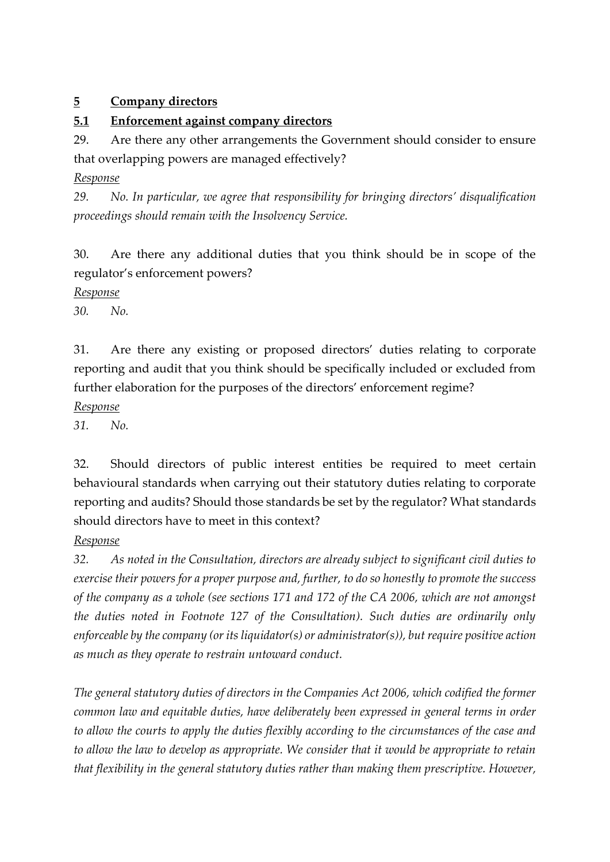#### **5 Company directors**

#### **5.1 Enforcement against company directors**

29. Are there any other arrangements the Government should consider to ensure that overlapping powers are managed effectively?

#### *Response*

*29. No. In particular, we agree that responsibility for bringing directors' disqualification proceedings should remain with the Insolvency Service.*

30. Are there any additional duties that you think should be in scope of the regulator's enforcement powers?

#### *Response*

*30. No.*

31. Are there any existing or proposed directors' duties relating to corporate reporting and audit that you think should be specifically included or excluded from further elaboration for the purposes of the directors' enforcement regime?

#### *Response*

*31. No.*

32. Should directors of public interest entities be required to meet certain behavioural standards when carrying out their statutory duties relating to corporate reporting and audits? Should those standards be set by the regulator? What standards should directors have to meet in this context?

#### *Response*

*32. As noted in the Consultation, directors are already subject to significant civil duties to exercise their powers for a proper purpose and, further, to do so honestly to promote the success of the company as a whole (see sections 171 and 172 of the CA 2006, which are not amongst the duties noted in Footnote 127 of the Consultation). Such duties are ordinarily only enforceable by the company (or its liquidator(s) or administrator(s)), but require positive action as much as they operate to restrain untoward conduct.*

*The general statutory duties of directors in the Companies Act 2006, which codified the former common law and equitable duties, have deliberately been expressed in general terms in order to allow the courts to apply the duties flexibly according to the circumstances of the case and to allow the law to develop as appropriate. We consider that it would be appropriate to retain that flexibility in the general statutory duties rather than making them prescriptive. However,*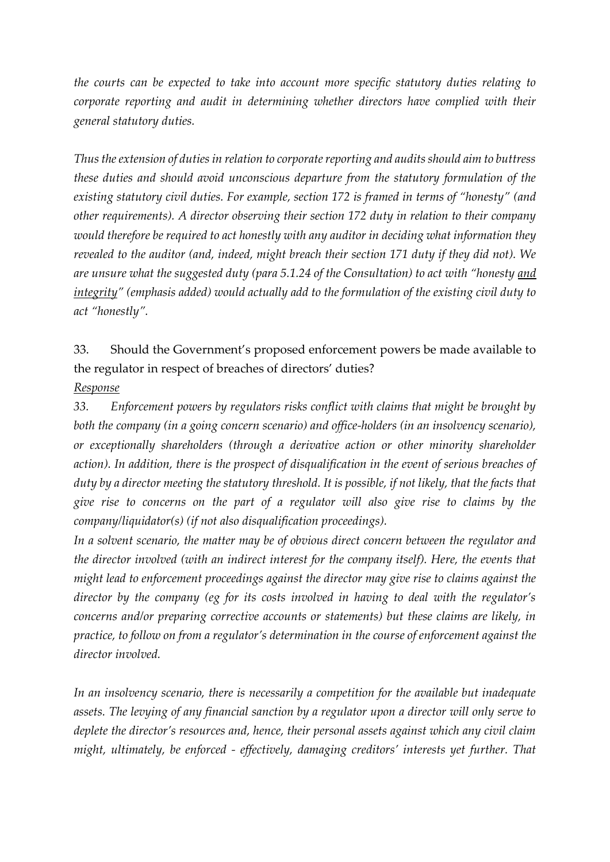*the courts can be expected to take into account more specific statutory duties relating to corporate reporting and audit in determining whether directors have complied with their general statutory duties.*

*Thus the extension of duties in relation to corporate reporting and audits should aim to buttress these duties and should avoid unconscious departure from the statutory formulation of the existing statutory civil duties. For example, section 172 is framed in terms of "honesty" (and other requirements). A director observing their section 172 duty in relation to their company would therefore be required to act honestly with any auditor in deciding what information they revealed to the auditor (and, indeed, might breach their section 171 duty if they did not). We are unsure what the suggested duty (para 5.1.24 of the Consultation) to act with "honesty <u>and</u> integrity" (emphasis added) would actually add to the formulation of the existing civil duty to act "honestly".*

33. Should the Government's proposed enforcement powers be made available to the regulator in respect of breaches of directors' duties? *Response*

*33. Enforcement powers by regulators risks conflict with claims that might be brought by both the company (in a going concern scenario) and office-holders (in an insolvency scenario), or exceptionally shareholders (through a derivative action or other minority shareholder action). In addition, there is the prospect of disqualification in the event of serious breaches of duty by a director meeting the statutory threshold. It is possible, if not likely, that the facts that give rise to concerns on the part of a regulator will also give rise to claims by the company/liquidator(s) (if not also disqualification proceedings).*

*In a solvent scenario, the matter may be of obvious direct concern between the regulator and the director involved (with an indirect interest for the company itself). Here, the events that might lead to enforcement proceedings against the director may give rise to claims against the director by the company (eg for its costs involved in having to deal with the regulator's concerns and/or preparing corrective accounts or statements) but these claims are likely, in practice, to follow on from a regulator's determination in the course of enforcement against the director involved.*

*In an insolvency scenario, there is necessarily a competition for the available but inadequate assets. The levying of any financial sanction by a regulator upon a director will only serve to deplete the director's resources and, hence, their personal assets against which any civil claim might, ultimately, be enforced - effectively, damaging creditors' interests yet further. That*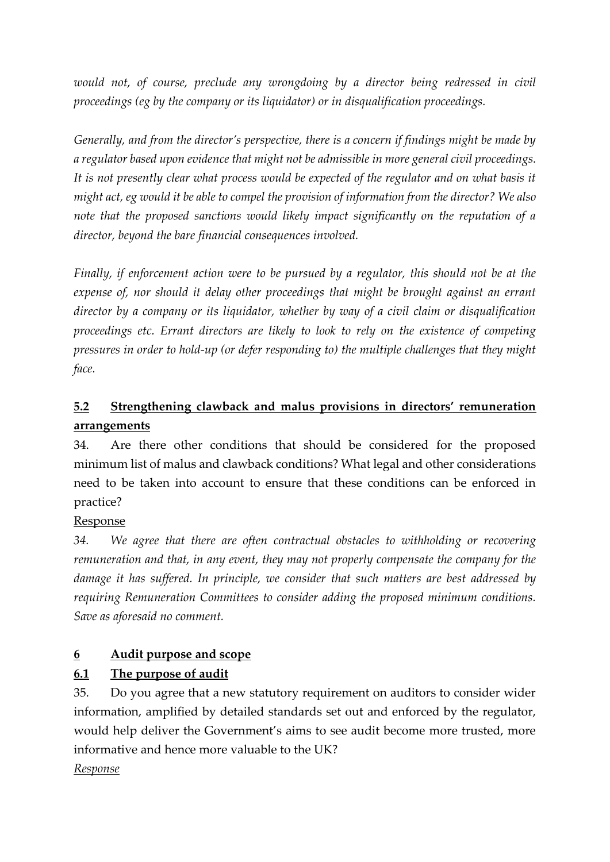would not, of course, preclude any wrongdoing by a director being redressed in civil *proceedings (eg by the company or its liquidator) or in disqualification proceedings.*

*Generally, and from the director's perspective, there is a concern if findings might be made by a regulator based upon evidence that might not be admissible in more general civil proceedings. It is not presently clear what process would be expected of the regulator and on what basis it might act, eg would it be able to compel the provision of information from the director? We also note that the proposed sanctions would likely impact significantly on the reputation of a director, beyond the bare financial consequences involved.*

*Finally, if enforcement action were to be pursued by a regulator, this should not be at the expense of, nor should it delay other proceedings that might be brought against an errant director by a company or its liquidator, whether by way of a civil claim or disqualification proceedings etc. Errant directors are likely to look to rely on the existence of competing pressures in order to hold-up (or defer responding to) the multiple challenges that they might face.*

# **5.2 Strengthening clawback and malus provisions in directors' remuneration arrangements**

34. Are there other conditions that should be considered for the proposed minimum list of malus and clawback conditions? What legal and other considerations need to be taken into account to ensure that these conditions can be enforced in practice?

### Response

*34. We agree that there are often contractual obstacles to withholding or recovering remuneration and that, in any event, they may not properly compensate the company for the damage it has suffered. In principle, we consider that such matters are best addressed by requiring Remuneration Committees to consider adding the proposed minimum conditions. Save as aforesaid no comment.*

### **6 Audit purpose and scope**

### **6.1 The purpose of audit**

35. Do you agree that a new statutory requirement on auditors to consider wider information, amplified by detailed standards set out and enforced by the regulator, would help deliver the Government's aims to see audit become more trusted, more informative and hence more valuable to the UK?

### *Response*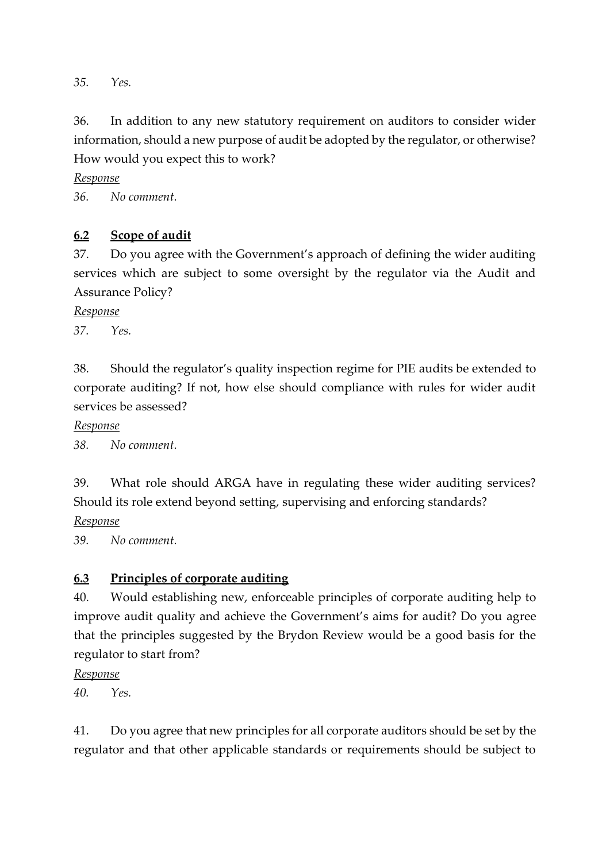*35. Yes.*

36. In addition to any new statutory requirement on auditors to consider wider information, should a new purpose of audit be adopted by the regulator, or otherwise? How would you expect this to work?

*Response*

*36. No comment.*

#### **6.2 Scope of audit**

37. Do you agree with the Government's approach of defining the wider auditing services which are subject to some oversight by the regulator via the Audit and Assurance Policy?

*Response*

*37. Yes.*

38. Should the regulator's quality inspection regime for PIE audits be extended to corporate auditing? If not, how else should compliance with rules for wider audit services be assessed?

*Response*

*38. No comment.*

39. What role should ARGA have in regulating these wider auditing services? Should its role extend beyond setting, supervising and enforcing standards?

*Response*

*39. No comment.*

#### **6.3 Principles of corporate auditing**

40. Would establishing new, enforceable principles of corporate auditing help to improve audit quality and achieve the Government's aims for audit? Do you agree that the principles suggested by the Brydon Review would be a good basis for the regulator to start from?

*Response*

*40. Yes.*

41. Do you agree that new principles for all corporate auditors should be set by the regulator and that other applicable standards or requirements should be subject to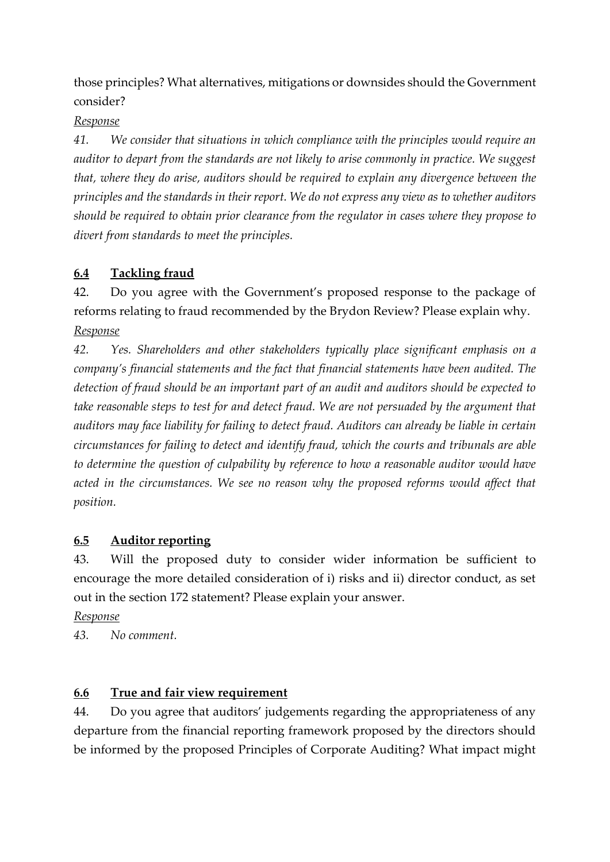those principles? What alternatives, mitigations or downsides should the Government consider?

#### *Response*

*41. We consider that situations in which compliance with the principles would require an auditor to depart from the standards are not likely to arise commonly in practice. We suggest that, where they do arise, auditors should be required to explain any divergence between the principles and the standards in their report. We do not express any view as to whether auditors should be required to obtain prior clearance from the regulator in cases where they propose to divert from standards to meet the principles.*

## **6.4 Tackling fraud**

42. Do you agree with the Government's proposed response to the package of reforms relating to fraud recommended by the Brydon Review? Please explain why. *Response*

*42. Yes. Shareholders and other stakeholders typically place significant emphasis on a company's financial statements and the fact that financial statements have been audited. The detection of fraud should be an important part of an audit and auditors should be expected to take reasonable steps to test for and detect fraud. We are not persuaded by the argument that auditors may face liability for failing to detect fraud. Auditors can already be liable in certain circumstances for failing to detect and identify fraud, which the courts and tribunals are able to determine the question of culpability by reference to how a reasonable auditor would have*  acted in the circumstances. We see no reason why the proposed reforms would affect that *position.*

### **6.5 Auditor reporting**

43. Will the proposed duty to consider wider information be sufficient to encourage the more detailed consideration of i) risks and ii) director conduct, as set out in the section 172 statement? Please explain your answer.

*Response*

*43. No comment.*

### **6.6 True and fair view requirement**

44. Do you agree that auditors' judgements regarding the appropriateness of any departure from the financial reporting framework proposed by the directors should be informed by the proposed Principles of Corporate Auditing? What impact might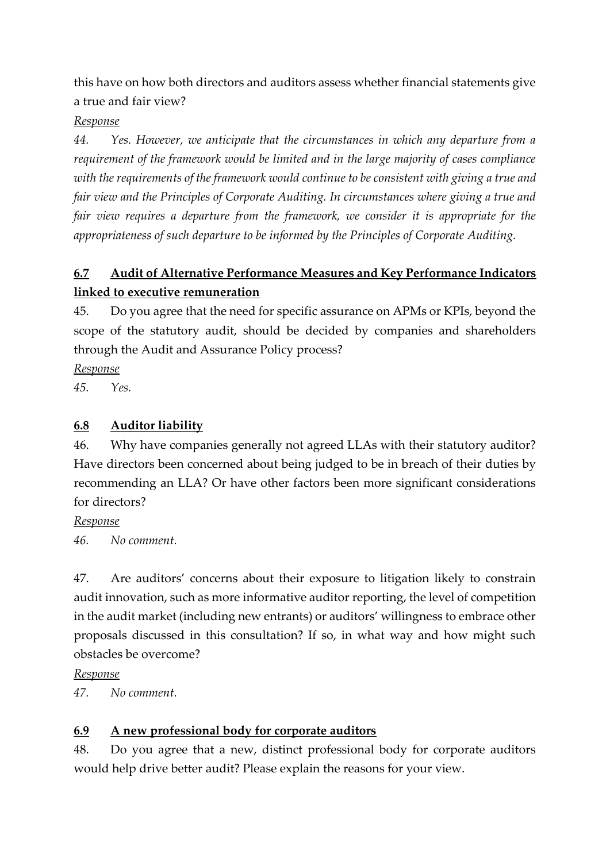this have on how both directors and auditors assess whether financial statements give a true and fair view?

#### *Response*

*44. Yes. However, we anticipate that the circumstances in which any departure from a requirement of the framework would be limited and in the large majority of cases compliance with the requirements of the framework would continue to be consistent with giving a true and fair view and the Principles of Corporate Auditing. In circumstances where giving a true and fair view requires a departure from the framework, we consider it is appropriate for the appropriateness of such departure to be informed by the Principles of Corporate Auditing.*

# **6.7 Audit of Alternative Performance Measures and Key Performance Indicators linked to executive remuneration**

45. Do you agree that the need for specific assurance on APMs or KPIs, beyond the scope of the statutory audit, should be decided by companies and shareholders through the Audit and Assurance Policy process?

*Response*

*45. Yes.*

### **6.8 Auditor liability**

46. Why have companies generally not agreed LLAs with their statutory auditor? Have directors been concerned about being judged to be in breach of their duties by recommending an LLA? Or have other factors been more significant considerations for directors?

*Response*

*46. No comment.*

47. Are auditors' concerns about their exposure to litigation likely to constrain audit innovation, such as more informative auditor reporting, the level of competition in the audit market (including new entrants) or auditors' willingness to embrace other proposals discussed in this consultation? If so, in what way and how might such obstacles be overcome?

*Response*

*47. No comment.*

## **6.9 A new professional body for corporate auditors**

48. Do you agree that a new, distinct professional body for corporate auditors would help drive better audit? Please explain the reasons for your view.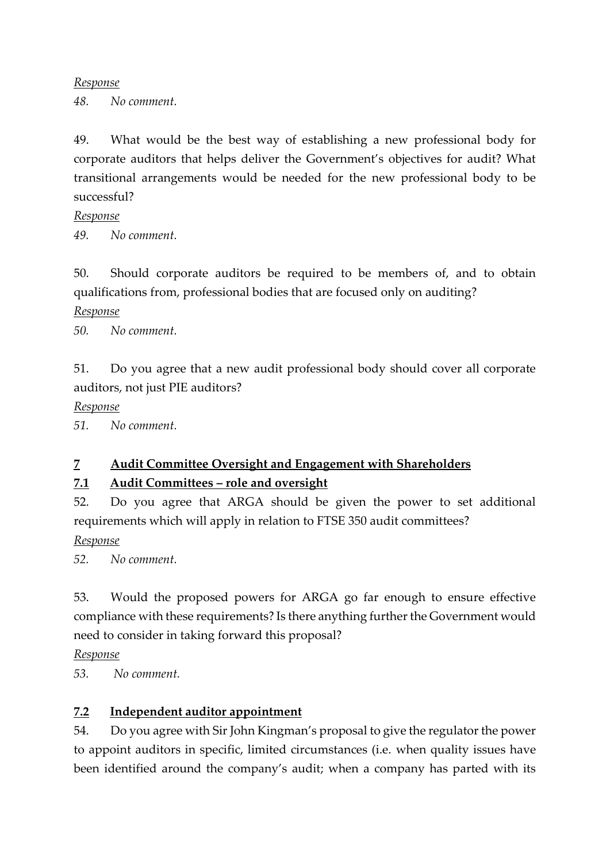#### *Response*

*48. No comment.*

49. What would be the best way of establishing a new professional body for corporate auditors that helps deliver the Government's objectives for audit? What transitional arrangements would be needed for the new professional body to be successful?

#### *Response*

*49. No comment.*

50. Should corporate auditors be required to be members of, and to obtain qualifications from, professional bodies that are focused only on auditing?

#### *Response*

*50. No comment.*

51. Do you agree that a new audit professional body should cover all corporate auditors, not just PIE auditors?

#### *Response*

*51. No comment.*

### **7 Audit Committee Oversight and Engagement with Shareholders**

### **7.1 Audit Committees – role and oversight**

52. Do you agree that ARGA should be given the power to set additional requirements which will apply in relation to FTSE 350 audit committees?

*Response*

*52. No comment.*

53. Would the proposed powers for ARGA go far enough to ensure effective compliance with these requirements? Is there anything further the Government would need to consider in taking forward this proposal?

*Response*

*53. No comment.*

### **7.2 Independent auditor appointment**

54. Do you agree with Sir John Kingman's proposal to give the regulator the power to appoint auditors in specific, limited circumstances (i.e. when quality issues have been identified around the company's audit; when a company has parted with its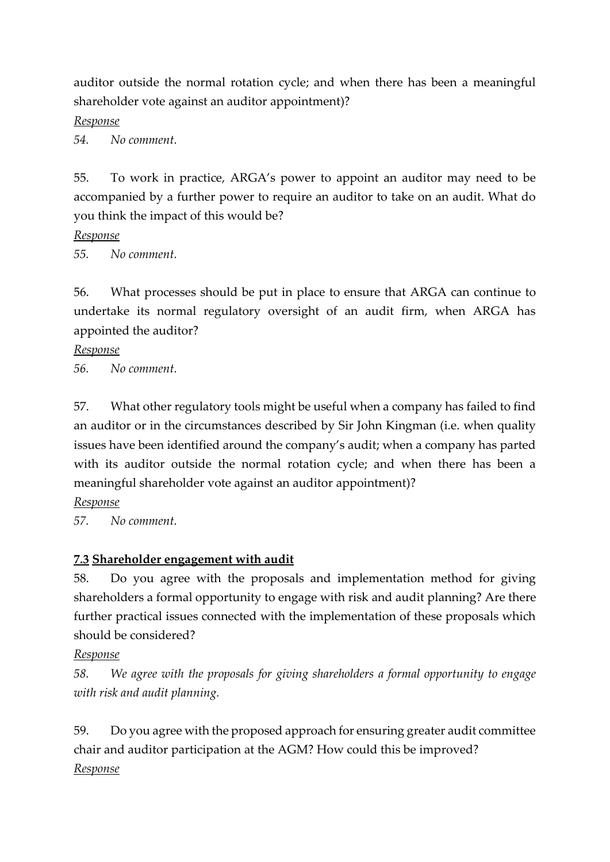auditor outside the normal rotation cycle; and when there has been a meaningful shareholder vote against an auditor appointment)?

*Response*

*54. No comment.*

55. To work in practice, ARGA's power to appoint an auditor may need to be accompanied by a further power to require an auditor to take on an audit. What do you think the impact of this would be?

*Response*

*55. No comment.*

56. What processes should be put in place to ensure that ARGA can continue to undertake its normal regulatory oversight of an audit firm, when ARGA has appointed the auditor?

*Response*

*56. No comment.*

57. What other regulatory tools might be useful when a company has failed to find an auditor or in the circumstances described by Sir John Kingman (i.e. when quality issues have been identified around the company's audit; when a company has parted with its auditor outside the normal rotation cycle; and when there has been a meaningful shareholder vote against an auditor appointment)?

*Response*

*57. No comment.*

### **7.3 Shareholder engagement with audit**

58. Do you agree with the proposals and implementation method for giving shareholders a formal opportunity to engage with risk and audit planning? Are there further practical issues connected with the implementation of these proposals which should be considered?

*Response*

*58. We agree with the proposals for giving shareholders a formal opportunity to engage with risk and audit planning.*

59. Do you agree with the proposed approach for ensuring greater audit committee chair and auditor participation at the AGM? How could this be improved? *Response*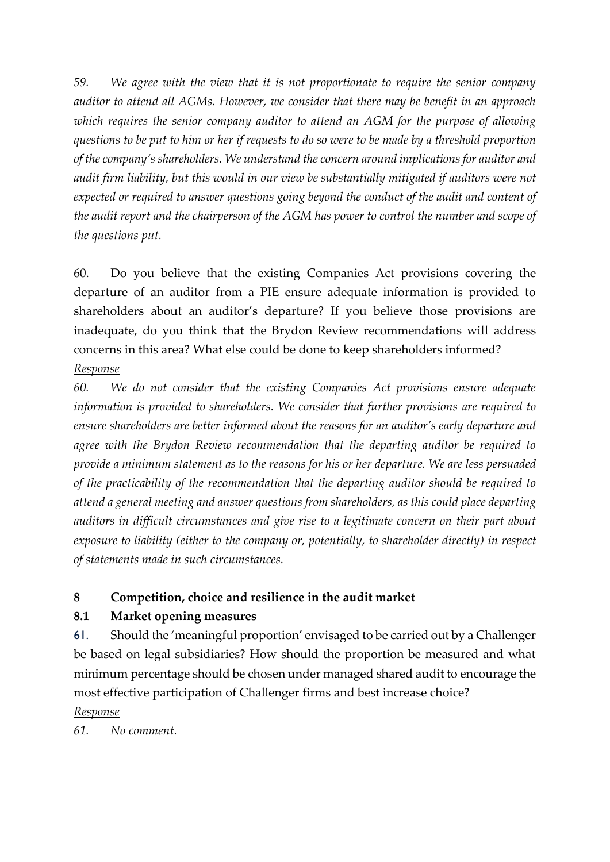*59. We agree with the view that it is not proportionate to require the senior company auditor to attend all AGMs. However, we consider that there may be benefit in an approach which requires the senior company auditor to attend an AGM for the purpose of allowing questions to be put to him or her if requests to do so were to be made by a threshold proportion of the company's shareholders. We understand the concern around implications for auditor and audit firm liability, but this would in our view be substantially mitigated if auditors were not expected or required to answer questions going beyond the conduct of the audit and content of the audit report and the chairperson of the AGM has power to control the number and scope of the questions put.*

60. Do you believe that the existing Companies Act provisions covering the departure of an auditor from a PIE ensure adequate information is provided to shareholders about an auditor's departure? If you believe those provisions are inadequate, do you think that the Brydon Review recommendations will address concerns in this area? What else could be done to keep shareholders informed? *Response*

*60. We do not consider that the existing Companies Act provisions ensure adequate information is provided to shareholders. We consider that further provisions are required to ensure shareholders are better informed about the reasons for an auditor's early departure and agree with the Brydon Review recommendation that the departing auditor be required to provide a minimum statement as to the reasons for his or her departure. We are less persuaded of the practicability of the recommendation that the departing auditor should be required to attend a general meeting and answer questions from shareholders, as this could place departing auditors in difficult circumstances and give rise to a legitimate concern on their part about exposure to liability (either to the company or, potentially, to shareholder directly) in respect of statements made in such circumstances.*

### **8 Competition, choice and resilience in the audit market**

### **8.1 Market opening measures**

61. Should the 'meaningful proportion' envisaged to be carried out by a Challenger be based on legal subsidiaries? How should the proportion be measured and what minimum percentage should be chosen under managed shared audit to encourage the most effective participation of Challenger firms and best increase choice? *Response*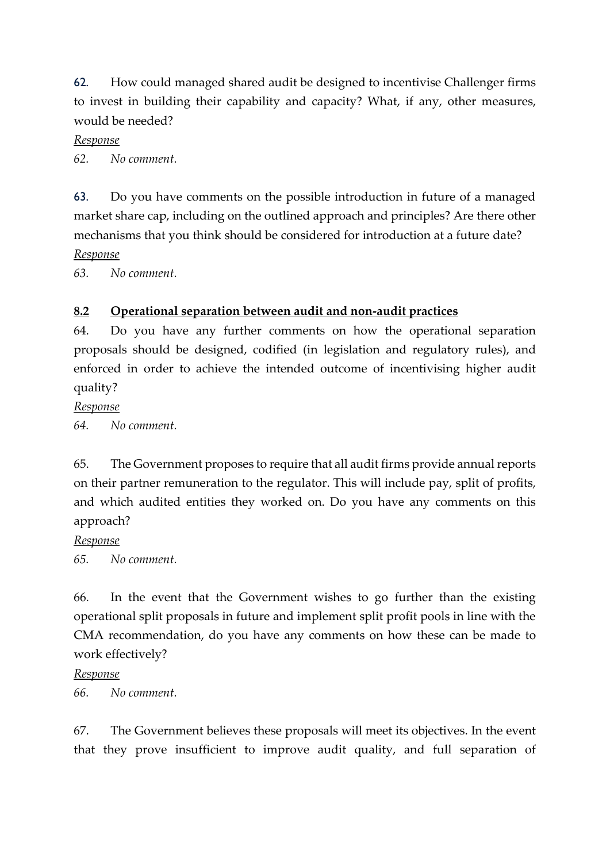62. How could managed shared audit be designed to incentivise Challenger firms to invest in building their capability and capacity? What, if any, other measures, would be needed?

#### *Response*

*62. No comment.*

63. Do you have comments on the possible introduction in future of a managed market share cap, including on the outlined approach and principles? Are there other mechanisms that you think should be considered for introduction at a future date? *Response*

*63. No comment.*

#### **8.2 Operational separation between audit and non-audit practices**

64. Do you have any further comments on how the operational separation proposals should be designed, codified (in legislation and regulatory rules), and enforced in order to achieve the intended outcome of incentivising higher audit quality?

*Response*

*64. No comment.*

65. The Government proposes to require that all audit firms provide annual reports on their partner remuneration to the regulator. This will include pay, split of profits, and which audited entities they worked on. Do you have any comments on this approach?

#### *Response*

*65. No comment.*

66. In the event that the Government wishes to go further than the existing operational split proposals in future and implement split profit pools in line with the CMA recommendation, do you have any comments on how these can be made to work effectively?

#### *Response*

*66. No comment.*

67. The Government believes these proposals will meet its objectives. In the event that they prove insufficient to improve audit quality, and full separation of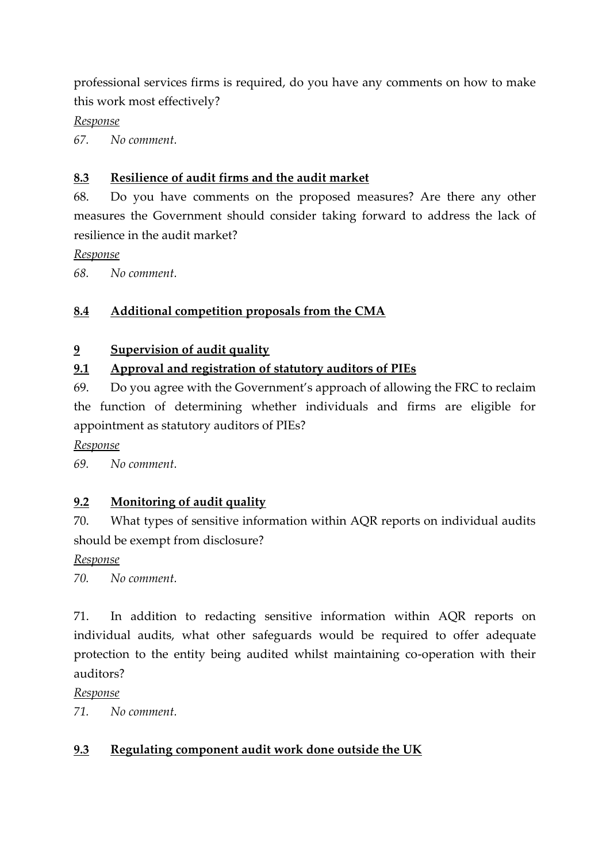professional services firms is required, do you have any comments on how to make this work most effectively?

*Response*

*67. No comment.*

## **8.3 Resilience of audit firms and the audit market**

68. Do you have comments on the proposed measures? Are there any other measures the Government should consider taking forward to address the lack of resilience in the audit market?

*Response*

*68. No comment.*

## **8.4 Additional competition proposals from the CMA**

### **9 Supervision of audit quality**

## **9.1 Approval and registration of statutory auditors of PIEs**

69. Do you agree with the Government's approach of allowing the FRC to reclaim the function of determining whether individuals and firms are eligible for appointment as statutory auditors of PIEs?

*Response*

*69. No comment.*

## **9.2 Monitoring of audit quality**

70. What types of sensitive information within AQR reports on individual audits should be exempt from disclosure?

*Response*

*70. No comment.*

71. In addition to redacting sensitive information within AQR reports on individual audits, what other safeguards would be required to offer adequate protection to the entity being audited whilst maintaining co-operation with their auditors?

*Response*

*71. No comment.*

## **9.3 Regulating component audit work done outside the UK**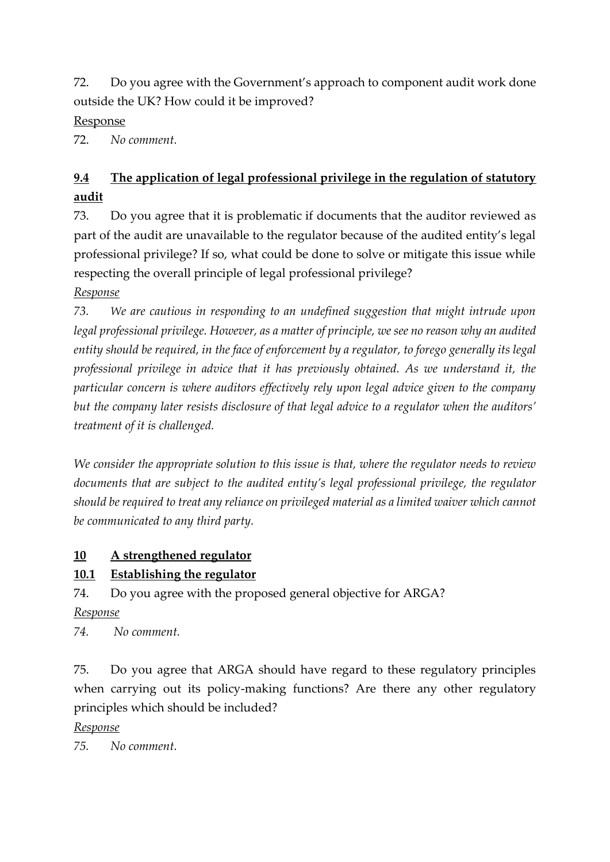72. Do you agree with the Government's approach to component audit work done outside the UK? How could it be improved?

Response

72. *No comment.*

# **9.4 The application of legal professional privilege in the regulation of statutory audit**

73. Do you agree that it is problematic if documents that the auditor reviewed as part of the audit are unavailable to the regulator because of the audited entity's legal professional privilege? If so, what could be done to solve or mitigate this issue while respecting the overall principle of legal professional privilege?

*Response*

*73. We are cautious in responding to an undefined suggestion that might intrude upon legal professional privilege. However, as a matter of principle, we see no reason why an audited entity should be required, in the face of enforcement by a regulator, to forego generally its legal professional privilege in advice that it has previously obtained. As we understand it, the particular concern is where auditors effectively rely upon legal advice given to the company but the company later resists disclosure of that legal advice to a regulator when the auditors' treatment of it is challenged.* 

*We consider the appropriate solution to this issue is that, where the regulator needs to review documents that are subject to the audited entity's legal professional privilege, the regulator should be required to treat any reliance on privileged material as a limited waiver which cannot be communicated to any third party.* 

# **10 A strengthened regulator**

# **10.1 Establishing the regulator**

74. Do you agree with the proposed general objective for ARGA?

*Response*

*74. No comment.*

75. Do you agree that ARGA should have regard to these regulatory principles when carrying out its policy-making functions? Are there any other regulatory principles which should be included?

*Response*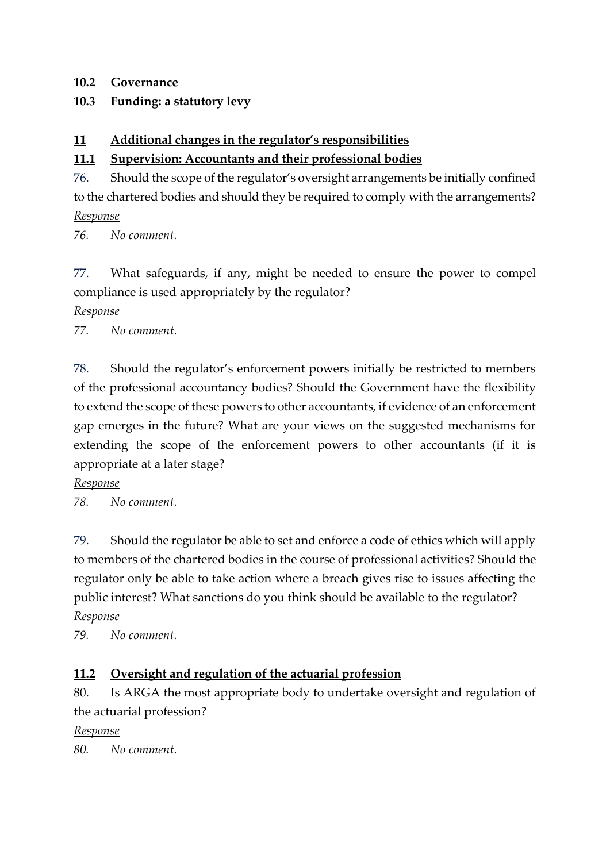#### **10.2 Governance**

### **10.3 Funding: a statutory levy**

### **11 Additional changes in the regulator's responsibilities**

## **11.1 Supervision: Accountants and their professional bodies**

76. Should the scope of the regulator's oversight arrangements be initially confined to the chartered bodies and should they be required to comply with the arrangements? *Response*

*76. No comment.*

77. What safeguards, if any, might be needed to ensure the power to compel compliance is used appropriately by the regulator?

#### *Response*

*77. No comment.*

78. Should the regulator's enforcement powers initially be restricted to members of the professional accountancy bodies? Should the Government have the flexibility to extend the scope of these powers to other accountants, if evidence of an enforcement gap emerges in the future? What are your views on the suggested mechanisms for extending the scope of the enforcement powers to other accountants (if it is appropriate at a later stage?

*Response*

*78. No comment.*

79. Should the regulator be able to set and enforce a code of ethics which will apply to members of the chartered bodies in the course of professional activities? Should the regulator only be able to take action where a breach gives rise to issues affecting the public interest? What sanctions do you think should be available to the regulator? *Response*

*79. No comment.*

### **11.2 Oversight and regulation of the actuarial profession**

80. Is ARGA the most appropriate body to undertake oversight and regulation of the actuarial profession?

*Response*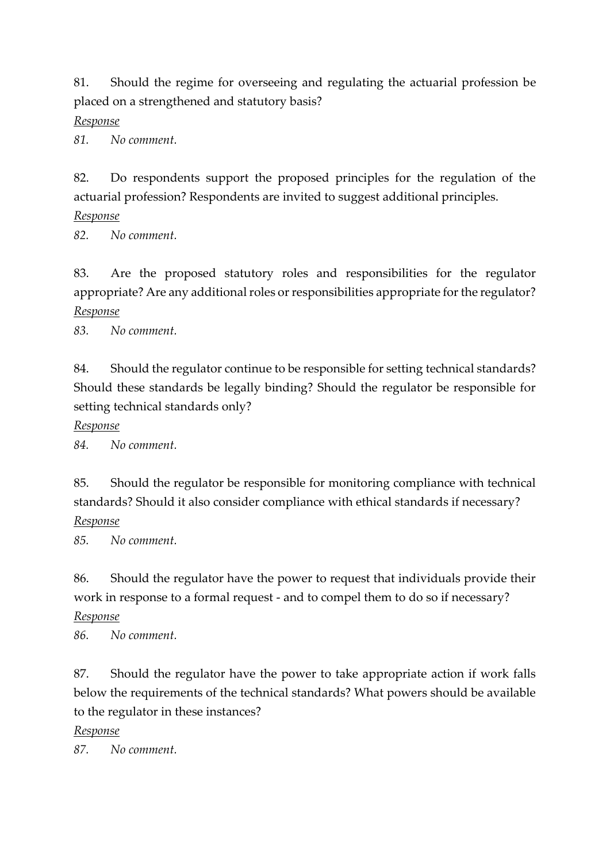81. Should the regime for overseeing and regulating the actuarial profession be placed on a strengthened and statutory basis?

*Response*

*81. No comment.*

82. Do respondents support the proposed principles for the regulation of the actuarial profession? Respondents are invited to suggest additional principles.

*Response*

*82. No comment.*

83. Are the proposed statutory roles and responsibilities for the regulator appropriate? Are any additional roles or responsibilities appropriate for the regulator? *Response*

*83. No comment.*

84. Should the regulator continue to be responsible for setting technical standards? Should these standards be legally binding? Should the regulator be responsible for setting technical standards only?

*Response*

*84. No comment.*

85. Should the regulator be responsible for monitoring compliance with technical standards? Should it also consider compliance with ethical standards if necessary?

*Response*

*85. No comment.*

86. Should the regulator have the power to request that individuals provide their work in response to a formal request - and to compel them to do so if necessary?

*Response*

*86. No comment.*

87. Should the regulator have the power to take appropriate action if work falls below the requirements of the technical standards? What powers should be available to the regulator in these instances?

*Response*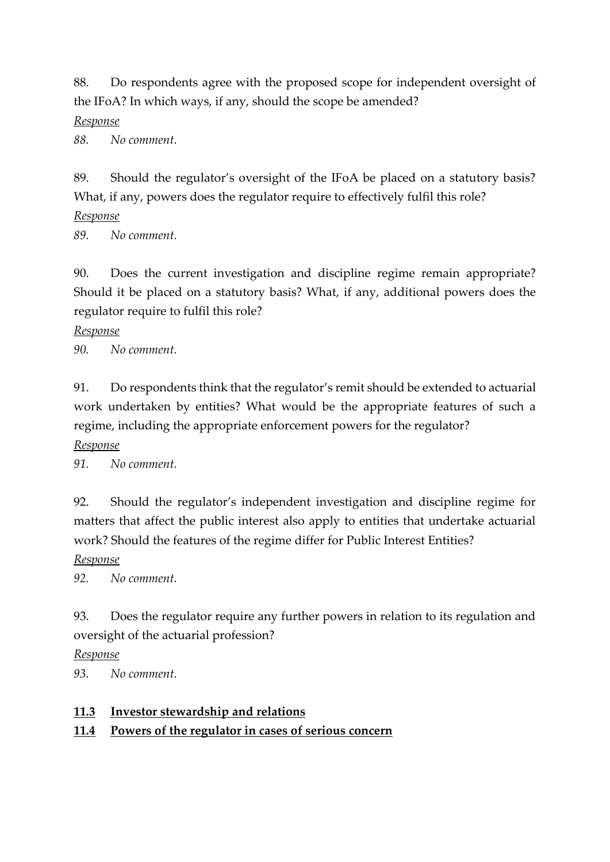88. Do respondents agree with the proposed scope for independent oversight of the IFoA? In which ways, if any, should the scope be amended?

#### *Response*

*88. No comment.*

89. Should the regulator's oversight of the IFoA be placed on a statutory basis? What, if any, powers does the regulator require to effectively fulfil this role?

*Response*

*89. No comment.*

90. Does the current investigation and discipline regime remain appropriate? Should it be placed on a statutory basis? What, if any, additional powers does the regulator require to fulfil this role?

*Response*

*90. No comment.*

91. Do respondents think that the regulator's remit should be extended to actuarial work undertaken by entities? What would be the appropriate features of such a regime, including the appropriate enforcement powers for the regulator?

*Response* 

*91. No comment.*

92. Should the regulator's independent investigation and discipline regime for matters that affect the public interest also apply to entities that undertake actuarial work? Should the features of the regime differ for Public Interest Entities?

*Response*

*92. No comment.*

93. Does the regulator require any further powers in relation to its regulation and oversight of the actuarial profession?

*Response*

*93. No comment.*

#### **11.3 Investor stewardship and relations**

### **11.4 Powers of the regulator in cases of serious concern**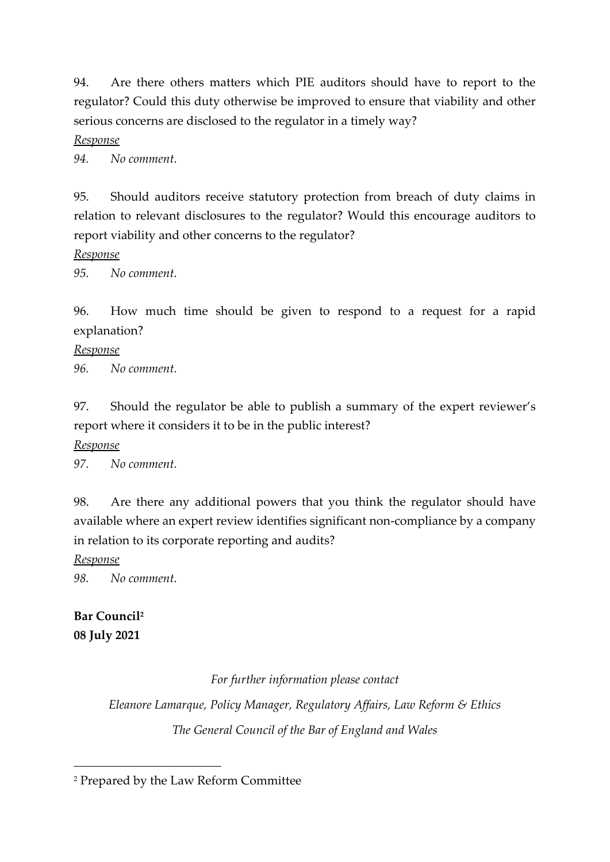94. Are there others matters which PIE auditors should have to report to the regulator? Could this duty otherwise be improved to ensure that viability and other serious concerns are disclosed to the regulator in a timely way?

*Response*

*94. No comment.*

95. Should auditors receive statutory protection from breach of duty claims in relation to relevant disclosures to the regulator? Would this encourage auditors to report viability and other concerns to the regulator?

*Response*

*95. No comment.*

96. How much time should be given to respond to a request for a rapid explanation?

*Response*

*96. No comment.*

97. Should the regulator be able to publish a summary of the expert reviewer's report where it considers it to be in the public interest?

*Response*

*97. No comment.*

98. Are there any additional powers that you think the regulator should have available where an expert review identifies significant non-compliance by a company in relation to its corporate reporting and audits?

*Response*

*98. No comment.*

# **Bar Council<sup>2</sup> 08 July 2021**

*For further information please contact Eleanore Lamarque, Policy Manager, Regulatory Affairs, Law Reform & Ethics The General Council of the Bar of England and Wales*

<sup>2</sup> Prepared by the Law Reform Committee